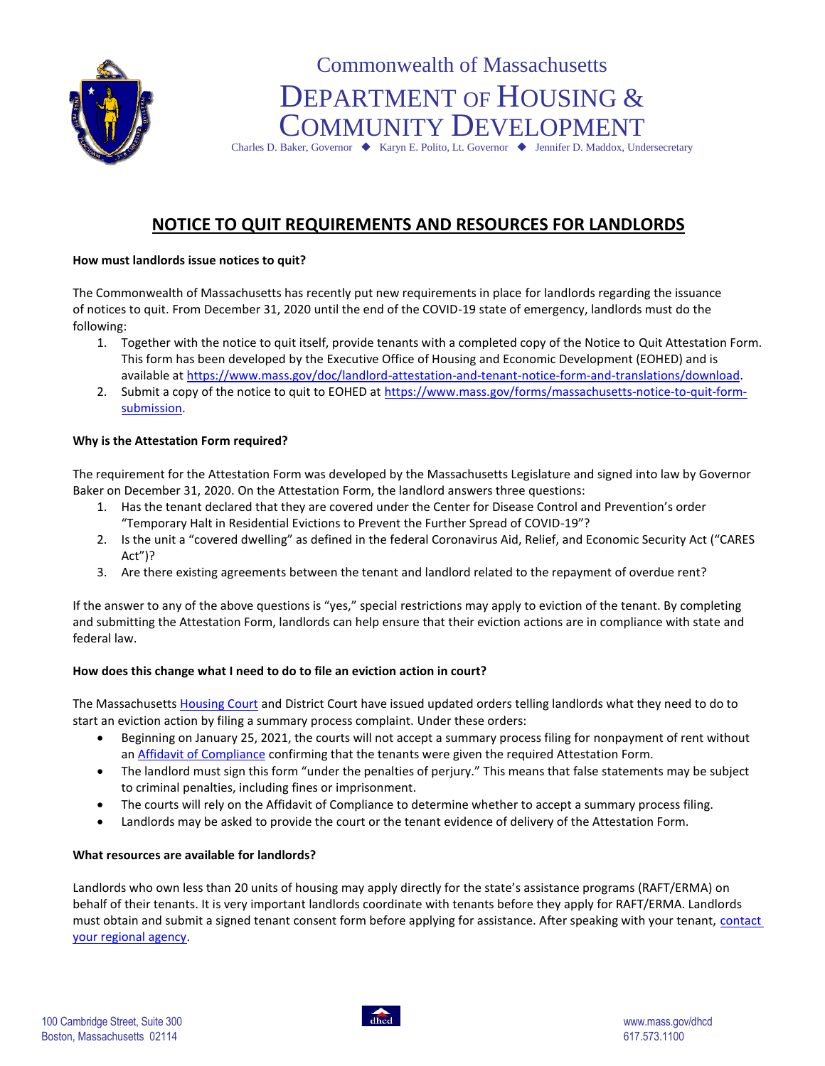

# Commonwealth of Massachusetts DEPARTMENT OF HOUSING & COMMUNITY DEVELOPMENT

Charles D. Baker, Governor  $\blacklozenge$  Karyn E. Polito, Lt. Governor  $\blacklozenge$  Jennifer D. Maddox, Undersecretary

# **NOTICE TO QUIT REQUIREMENTS AND RESOURCES FOR LANDLORDS**

## **How must landlords issue notices to quit?**

The Commonwealth of Massachusetts has recently put new requirements in place for landlords regarding the issuance of notices to quit. From December 31, 2020 until the end of the COVID-19 state of emergency, landlords must do the following:

- 1. Together with the notice to quit itself, provide tenants with a completed copy of the Notice to Quit Attestation Form. This form has been developed by the Executive Office of Housing and Economic Development (EOHED) and is available at [https://www.mass.gov/doc/landlord-attestation-and-tenant-notice-form-and-translations/download.](https://www.mass.gov/doc/landlord-attestation-and-tenant-notice-form-and-translations/download)
- 2. Submit a copy of the notice to quit to EOHED at [https://www.mass.gov/forms/massachusetts-notice-to-quit-form](https://www.mass.gov/forms/massachusetts-notice-to-quit-form-submission)[submission.](https://www.mass.gov/forms/massachusetts-notice-to-quit-form-submission)

# **Why is the Attestation Form required?**

The requirement for the Attestation Form was developed by the Massachusetts Legislature and signed into law by Governor Baker on December 31, 2020. On the Attestation Form, the landlord answers three questions:

- 1. Has the tenant declared that they are covered under the Center for Disease Control and Prevention's order "Temporary Halt in Residential Evictions to Prevent the Further Spread of COVID-19"?
- 2. Is the unit a "covered dwelling" as defined in the federal Coronavirus Aid, Relief, and Economic Security Act ("CARES Act")?
- 3. Are there existing agreements between the tenant and landlord related to the repayment of overdue rent?

If the answer to any of the above questions is "yes," special restrictions may apply to eviction of the tenant. By completing and submitting the Attestation Form, landlords can help ensure that their eviction actions are in compliance with state and federal law.

### **How does this change what I need to do to file an eviction action in court?**

The Massachusetts [Housing Court](https://www.mass.gov/housing-court-rules/first-amended-housing-court-standing-order-6-20-temporary-modifications-to) and District Court have issued updated orders telling landlords what they need to do to start an eviction action by filing a summary process complaint. Under these orders:

- Beginning on January 25, 2021, the courts will not accept a summary process filing for nonpayment of rent without an [Affidavit of Compliance](https://courtforms.jud.state.ma.us/publicforms/TC0012) confirming that the tenants were given the required Attestation Form.
- The landlord must sign this form "under the penalties of perjury." This means that false statements may be subject to criminal penalties, including fines or imprisonment.
- The courts will rely on the Affidavit of Compliance to determine whether to accept a summary process filing.
- Landlords may be asked to provide the court or the tenant evidence of delivery of the Attestation Form.

### **What resources are available for landlords?**

Landlords who own less than 20 units of housing may apply directly for the state's assistance programs (RAFT/ERMA) on behalf of their tenants. It is very important landlords coordinate with tenants before they apply for RAFT/ERMA. Landlords must obtain and submit a signed tenant consent form before applying for assistance. After speaking with your tenant, contact [your regional agency.](https://hedfuel.azurewebsites.net/raa.aspx)